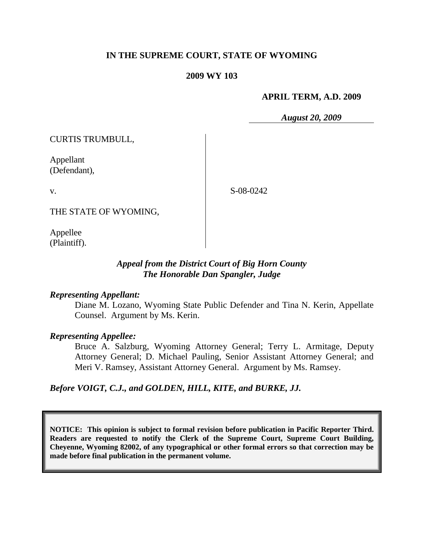# **IN THE SUPREME COURT, STATE OF WYOMING**

### **2009 WY 103**

#### **APRIL TERM, A.D. 2009**

*August 20, 2009*

CURTIS TRUMBULL,

Appellant (Defendant),

v.

S-08-0242

THE STATE OF WYOMING,

Appellee (Plaintiff).

# *Appeal from the District Court of Big Horn County The Honorable Dan Spangler, Judge*

#### *Representing Appellant:*

Diane M. Lozano, Wyoming State Public Defender and Tina N. Kerin, Appellate Counsel. Argument by Ms. Kerin.

## *Representing Appellee:*

Bruce A. Salzburg, Wyoming Attorney General; Terry L. Armitage, Deputy Attorney General; D. Michael Pauling, Senior Assistant Attorney General; and Meri V. Ramsey, Assistant Attorney General. Argument by Ms. Ramsey.

*Before VOIGT, C.J., and GOLDEN, HILL, KITE, and BURKE, JJ.*

**NOTICE: This opinion is subject to formal revision before publication in Pacific Reporter Third. Readers are requested to notify the Clerk of the Supreme Court, Supreme Court Building, Cheyenne, Wyoming 82002, of any typographical or other formal errors so that correction may be made before final publication in the permanent volume.**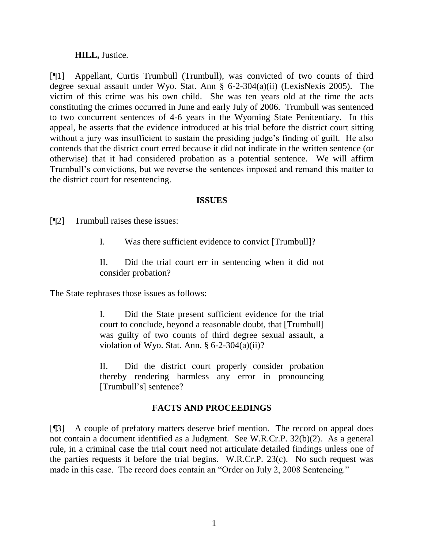## **HILL,** Justice.

[¶1] Appellant, Curtis Trumbull (Trumbull), was convicted of two counts of third degree sexual assault under Wyo. Stat. Ann § 6-2-304(a)(ii) (LexisNexis 2005). The victim of this crime was his own child. She was ten years old at the time the acts constituting the crimes occurred in June and early July of 2006. Trumbull was sentenced to two concurrent sentences of 4-6 years in the Wyoming State Penitentiary. In this appeal, he asserts that the evidence introduced at his trial before the district court sitting without a jury was insufficient to sustain the presiding judge's finding of guilt. He also contends that the district court erred because it did not indicate in the written sentence (or otherwise) that it had considered probation as a potential sentence. We will affirm Trumbull"s convictions, but we reverse the sentences imposed and remand this matter to the district court for resentencing.

### **ISSUES**

[¶2] Trumbull raises these issues:

I. Was there sufficient evidence to convict [Trumbull]?

II. Did the trial court err in sentencing when it did not consider probation?

The State rephrases those issues as follows:

I. Did the State present sufficient evidence for the trial court to conclude, beyond a reasonable doubt, that [Trumbull] was guilty of two counts of third degree sexual assault, a violation of Wyo. Stat. Ann.  $\S 6-2-304(a)(ii)$ ?

II. Did the district court properly consider probation thereby rendering harmless any error in pronouncing [Trumbull"s] sentence?

# **FACTS AND PROCEEDINGS**

[¶3] A couple of prefatory matters deserve brief mention. The record on appeal does not contain a document identified as a Judgment. See W.R.Cr.P. 32(b)(2). As a general rule, in a criminal case the trial court need not articulate detailed findings unless one of the parties requests it before the trial begins. W.R.Cr.P. 23(c). No such request was made in this case. The record does contain an "Order on July 2, 2008 Sentencing."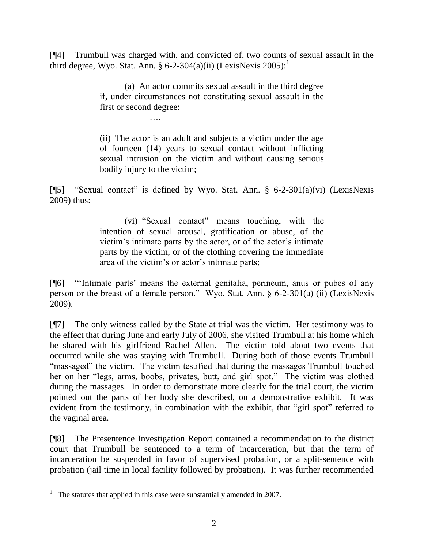[¶4] Trumbull was charged with, and convicted of, two counts of sexual assault in the third degree, Wyo. Stat. Ann. § 6-2-304(a)(ii) (LexisNexis  $2005$ ):<sup>1</sup>

> (a) An actor commits sexual assault in the third degree if, under circumstances not constituting sexual assault in the first or second degree:

> > ….

(ii) The actor is an adult and subjects a victim under the age of fourteen (14) years to sexual contact without inflicting sexual intrusion on the victim and without causing serious bodily injury to the victim;

[¶5] "Sexual contact" is defined by Wyo. Stat. Ann. §  $6-2-301(a)(vi)$  (LexisNexis 2009) thus:

> (vi) "Sexual contact" means touching, with the intention of sexual arousal, gratification or abuse, of the victim's intimate parts by the actor, or of the actor's intimate parts by the victim, or of the clothing covering the immediate area of the victim's or actor's intimate parts;

[¶6] ""Intimate parts" means the external genitalia, perineum, anus or pubes of any person or the breast of a female person." Wyo. Stat. Ann. § 6-2-301(a) (ii) (LexisNexis 2009).

[¶7] The only witness called by the State at trial was the victim. Her testimony was to the effect that during June and early July of 2006, she visited Trumbull at his home which he shared with his girlfriend Rachel Allen. The victim told about two events that occurred while she was staying with Trumbull. During both of those events Trumbull "massaged" the victim. The victim testified that during the massages Trumbull touched her on her "legs, arms, boobs, privates, butt, and girl spot." The victim was clothed during the massages. In order to demonstrate more clearly for the trial court, the victim pointed out the parts of her body she described, on a demonstrative exhibit. It was evident from the testimony, in combination with the exhibit, that "girl spot" referred to the vaginal area.

[¶8] The Presentence Investigation Report contained a recommendation to the district court that Trumbull be sentenced to a term of incarceration, but that the term of incarceration be suspended in favor of supervised probation, or a split-sentence with probation (jail time in local facility followed by probation). It was further recommended

<sup>&</sup>lt;sup>1</sup> The statutes that applied in this case were substantially amended in 2007.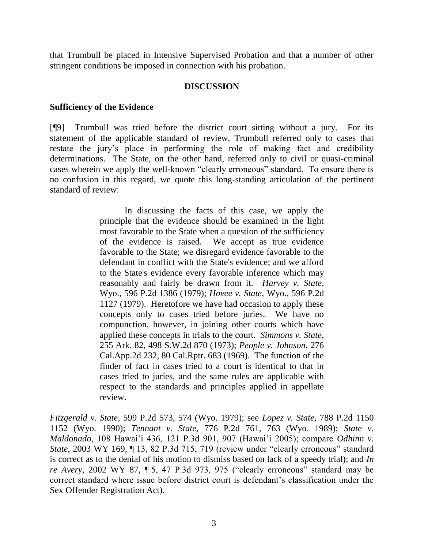that Trumbull be placed in Intensive Supervised Probation and that a number of other stringent conditions be imposed in connection with his probation.

## **DISCUSSION**

## **Sufficiency of the Evidence**

[¶9] Trumbull was tried before the district court sitting without a jury. For its statement of the applicable standard of review, Trumbull referred only to cases that restate the jury's place in performing the role of making fact and credibility determinations. The State, on the other hand, referred only to civil or quasi-criminal cases wherein we apply the well-known "clearly erroneous" standard. To ensure there is no confusion in this regard, we quote this long-standing articulation of the pertinent standard of review:

> In discussing the facts of this case, we apply the principle that the evidence should be examined in the light most favorable to the State when a question of the sufficiency of the evidence is raised. We accept as true evidence favorable to the State; we disregard evidence favorable to the defendant in conflict with the State's evidence; and we afford to the State's evidence every favorable inference which may reasonably and fairly be drawn from it. *Harvey v. State*, Wyo., 596 P.2d 1386 (1979); *Hovee v. State*, Wyo., 596 P.2d 1127 (1979). Heretofore we have had occasion to apply these concepts only to cases tried before juries. We have no compunction, however, in joining other courts which have applied these concepts in trials to the court. *Simmons v. State*, 255 Ark. 82, 498 S.W.2d 870 (1973); *People v. Johnson*, 276 Cal.App.2d 232, 80 Cal.Rptr. 683 (1969). The function of the finder of fact in cases tried to a court is identical to that in cases tried to juries, and the same rules are applicable with respect to the standards and principles applied in appellate review.

*Fitzgerald v. State*, 599 P.2d 573, 574 (Wyo. 1979); see *Lopez v. State,* 788 P.2d 1150 1152 (Wyo. 1990); *Tennant v. State*, 776 P.2d 761, 763 (Wyo. 1989); *State v. Maldonado*, 108 Hawai"i 436, 121 P.3d 901, 907 (Hawai"i 2005); compare *Odhinn v. State*, 2003 WY 169, ¶ 13, 82 P.3d 715, 719 (review under "clearly erroneous" standard is correct as to the denial of his motion to dismiss based on lack of a speedy trial); and *In re Avery*, 2002 WY 87, ¶ 5, 47 P.3d 973, 975 ("clearly erroneous" standard may be correct standard where issue before district court is defendant's classification under the Sex Offender Registration Act).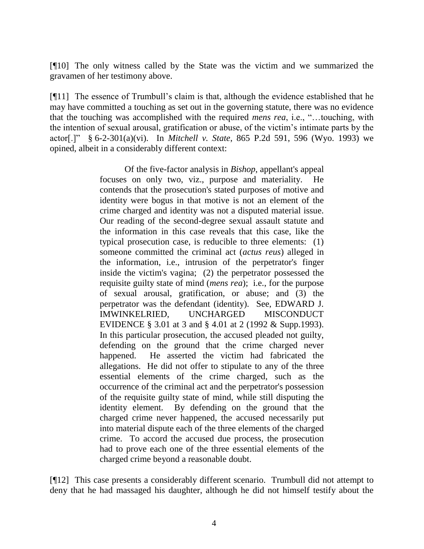[¶10] The only witness called by the State was the victim and we summarized the gravamen of her testimony above.

[¶11] The essence of Trumbull"s claim is that, although the evidence established that he may have committed a touching as set out in the governing statute, there was no evidence that the touching was accomplished with the required *mens rea*, i.e., "…touching, with the intention of sexual arousal, gratification or abuse, of the victim"s intimate parts by the actor[.]" § 6-2-301(a)(vi). In *Mitchell v. State*, 865 P.2d 591, 596 (Wyo. 1993) we opined, albeit in a considerably different context:

> Of the five-factor analysis in *Bishop*, appellant's appeal focuses on only two, viz., purpose and materiality. He contends that the prosecution's stated purposes of motive and identity were bogus in that motive is not an element of the crime charged and identity was not a disputed material issue. Our reading of the second-degree sexual assault statute and the information in this case reveals that this case, like the typical prosecution case, is reducible to three elements: (1) someone committed the criminal act (*actus reus*) alleged in the information, i.e., intrusion of the perpetrator's finger inside the victim's vagina; (2) the perpetrator possessed the requisite guilty state of mind (*mens rea*); i.e., for the purpose of sexual arousal, gratification, or abuse; and (3) the perpetrator was the defendant (identity). See, EDWARD J. IMWINKELRIED, UNCHARGED MISCONDUCT EVIDENCE § 3.01 at 3 and § 4.01 at 2 (1992 & Supp.1993). In this particular prosecution, the accused pleaded not guilty, defending on the ground that the crime charged never happened. He asserted the victim had fabricated the allegations. He did not offer to stipulate to any of the three essential elements of the crime charged, such as the occurrence of the criminal act and the perpetrator's possession of the requisite guilty state of mind, while still disputing the identity element. By defending on the ground that the charged crime never happened, the accused necessarily put into material dispute each of the three elements of the charged crime. To accord the accused due process, the prosecution had to prove each one of the three essential elements of the charged crime beyond a reasonable doubt.

[¶12] This case presents a considerably different scenario. Trumbull did not attempt to deny that he had massaged his daughter, although he did not himself testify about the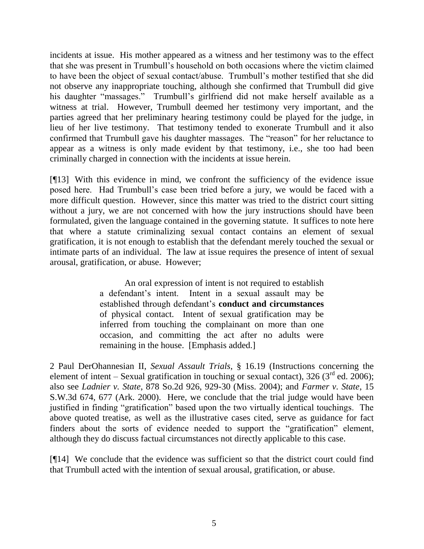incidents at issue. His mother appeared as a witness and her testimony was to the effect that she was present in Trumbull"s household on both occasions where the victim claimed to have been the object of sexual contact/abuse. Trumbull"s mother testified that she did not observe any inappropriate touching, although she confirmed that Trumbull did give his daughter "massages." Trumbull's girlfriend did not make herself available as a witness at trial. However, Trumbull deemed her testimony very important, and the parties agreed that her preliminary hearing testimony could be played for the judge, in lieu of her live testimony. That testimony tended to exonerate Trumbull and it also confirmed that Trumbull gave his daughter massages. The "reason" for her reluctance to appear as a witness is only made evident by that testimony, i.e., she too had been criminally charged in connection with the incidents at issue herein.

[¶13] With this evidence in mind, we confront the sufficiency of the evidence issue posed here. Had Trumbull"s case been tried before a jury, we would be faced with a more difficult question. However, since this matter was tried to the district court sitting without a jury, we are not concerned with how the jury instructions should have been formulated, given the language contained in the governing statute. It suffices to note here that where a statute criminalizing sexual contact contains an element of sexual gratification, it is not enough to establish that the defendant merely touched the sexual or intimate parts of an individual. The law at issue requires the presence of intent of sexual arousal, gratification, or abuse. However;

> An oral expression of intent is not required to establish a defendant"s intent. Intent in a sexual assault may be established through defendant"s **conduct and circumstances** of physical contact. Intent of sexual gratification may be inferred from touching the complainant on more than one occasion, and committing the act after no adults were remaining in the house. [Emphasis added.]

2 Paul DerOhannesian II, *Sexual Assault Trials*, § 16.19 (Instructions concerning the element of intent – Sexual gratification in touching or sexual contact), 326 ( $3<sup>rd</sup>$  ed. 2006); also see *Ladnier v. State*, 878 So.2d 926, 929-30 (Miss. 2004); and *Farmer v. State*, 15 S.W.3d 674, 677 (Ark. 2000). Here, we conclude that the trial judge would have been justified in finding "gratification" based upon the two virtually identical touchings. The above quoted treatise, as well as the illustrative cases cited, serve as guidance for fact finders about the sorts of evidence needed to support the "gratification" element, although they do discuss factual circumstances not directly applicable to this case.

[¶14] We conclude that the evidence was sufficient so that the district court could find that Trumbull acted with the intention of sexual arousal, gratification, or abuse.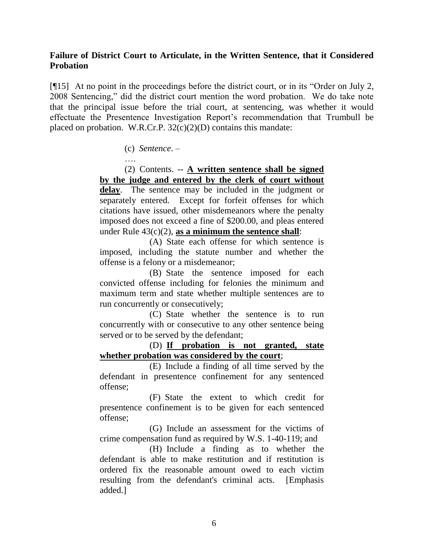# **Failure of District Court to Articulate, in the Written Sentence, that it Considered Probation**

[¶15] At no point in the proceedings before the district court, or in its "Order on July 2, 2008 Sentencing," did the district court mention the word probation. We do take note that the principal issue before the trial court, at sentencing, was whether it would effectuate the Presentence Investigation Report"s recommendation that Trumbull be placed on probation. W.R.Cr.P.  $32(c)(2)(D)$  contains this mandate:

(c) *Sentence*. –

….

(2) Contents. -- **A written sentence shall be signed by the judge and entered by the clerk of court without**  delay. The sentence may be included in the judgment or separately entered. Except for forfeit offenses for which citations have issued, other misdemeanors where the penalty imposed does not exceed a fine of \$200.00, and pleas entered under Rule 43(c)(2), **as a minimum the sentence shall**:

(A) State each offense for which sentence is imposed, including the statute number and whether the offense is a felony or a misdemeanor;

(B) State the sentence imposed for each convicted offense including for felonies the minimum and maximum term and state whether multiple sentences are to run concurrently or consecutively;

(C) State whether the sentence is to run concurrently with or consecutive to any other sentence being served or to be served by the defendant;

(D) **If probation is not granted, state whether probation was considered by the court**;

(E) Include a finding of all time served by the defendant in presentence confinement for any sentenced offense;

(F) State the extent to which credit for presentence confinement is to be given for each sentenced offense;

(G) Include an assessment for the victims of crime compensation fund as required by W.S. 1-40-119; and

(H) Include a finding as to whether the defendant is able to make restitution and if restitution is ordered fix the reasonable amount owed to each victim resulting from the defendant's criminal acts. [Emphasis added.]